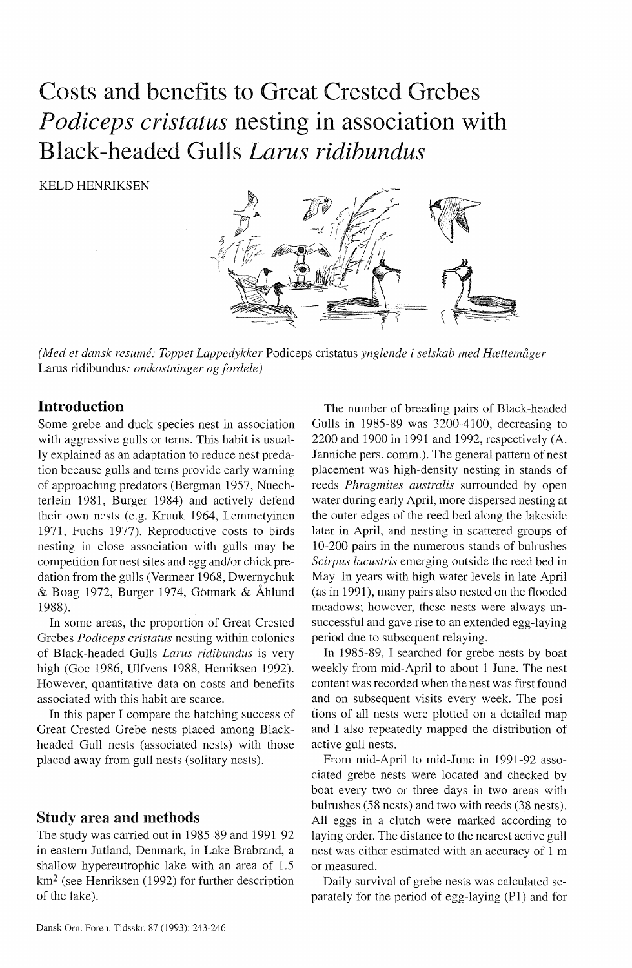# Costs and benefits to Great Crested Grebes *Podiceps cristatus* nesting in association with Black-headed Gulls *Larus ridibundus*

KELD HENRIKSEN



*(Med et dansk resume: Toppet Lappedykker* Podiceps cristatus *ynglende i selskab med Hættemåger*  Lams ridibundus: *omkostninger og fordele)* 

# Introduction

Some grebe and duck species nest in association with aggressive gulls or terns. This habit is usually explained as an adaptation to reduce nest predation because gulls and terns provide early warning of approaching predators (Bergman 1957, Nuechterlein 1981, Burger 1984) and actively defend their own nests (e.g. Kruuk 1964, Lemmetyinen 1971, Fuchs 1977). Reproductive costs to birds nesting in close association with gulls may be competition for nest sites and egg and/or chick predation from the gulls (Vermeer 1968, Dwernychuk & Boag 1972, Burger 1974, Gotmark & Åhlund 1988).

In some areas, the proportion of Great Crested Grebes *Podiceps cristatus* nesting within colonies of Black-headed Gulls *Larus ridibundus* is very high (Goc 1986, Ulfvens 1988, Henriksen 1992). However, quantitative data on costs and benefits associated with this habit are scarce.

In this paper I compare the hatching success of Great Crested Grebe nests placed among Blackheaded Gull nests (associated nests) with those placed away from gull nests (solitary nests).

## Study area and methods

The study was carried out in 1985-89 and 1991-92 in eastern Jutland, Denmark, in Lake Brabrand, a shallow hypereutrophic lake with an area of 1.5 km2 (see Henriksen (1992) for further description of the lake).

The number of breeding pairs of Black-headed Gulls in 1985-89 was 3200-4100, decreasing to 2200 and 1900 in 1991 and 1992, respectively (A. Janniche pers. comm.). The general pattern of nest placement was high-density nesting in stands of reeds *Phragmites australis* surrounded by open water during early April, more dispersed nesting at the outer edges of the reed bed along the lakeside later in April, and nesting in scattered groups of 10-200 pairs in the numerous stands of bulrushes *Scirpus lacustris* emerging outside the reed bed in May. In years with high water levels in late April (as in 1991), many pairs also nested on the flooded meadows; however, these nests were always unsuccessful and gave rise to an extended egg-laying period due to subsequent relaying.

In 1985-89, I searched for grebe nests by boat weekly from mid-April to about 1 June. The nest content was recorded when the nest was first found and on subsequent visits every week. The positions of all nests were plotted on a detailed map and I also repeatedly mapped the distribution of active gull nests.

From mid-April to mid-June in 1991-92 associated grebe nests were located and checked by boat every two or three days in two areas with bulrushes (58 nests) and two with reeds (38 nests). All eggs in a clutch were marked according to laying order. The distance to the nearest active gull nest was either estimated with an accuracy of 1 m or measured.

Daily survival of grebe nests was calculated separately for the period of egg-laying (Pl) and for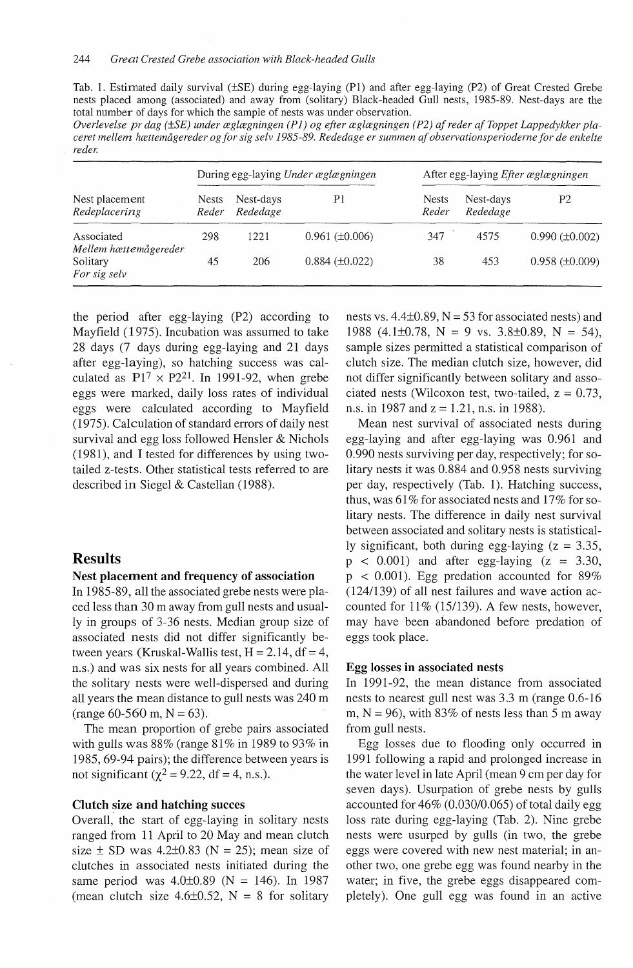Tab. 1. Estimated daily survival (±SE) during egg-laying (Pl) and after egg-laying (P2) of Great Crested Grebe nests placed among (associated) and away from (solitary) Black-headed Gull nests, 1985-89. Nest-days are the total number of days for which the sample of nests was under observation.

*Overlevelse pr dag (±SE) under æglægningen ( P 1) og efter æglægningen ( P2) af reder af Toppet Lappedykker placeret mellem hættemågereder og for sig selv 1985-89. Rededage er summen af observationsperioderne for de enkelte reder.* 

| Nest placement<br>Redeplacering     | During egg-laying Under æglægningen |                       |                       | After egg-laying <i>Efter æglægningen</i> |                       |                       |
|-------------------------------------|-------------------------------------|-----------------------|-----------------------|-------------------------------------------|-----------------------|-----------------------|
|                                     | <b>Nests</b><br>Reder               | Nest-days<br>Rededage | P1                    | <b>Nests</b><br>Reder                     | Nest-days<br>Rededage | P2                    |
| Associated<br>Mellem hættemågereder | 298                                 | 1221                  | $0.961 (\pm 0.006)$   | 347                                       | 4575                  | $0.990 (\pm 0.002)$   |
| Solitary<br>For sig selv            | 45                                  | 206                   | $0.884 \ (\pm 0.022)$ | 38                                        | 453                   | $0.958 \ (\pm 0.009)$ |

the period after egg-laying (P2) according to Mayfield ( 1975). Incubation was assumed to take 28 days (7 days during egg-laying and 21 days after egg-laying), so hatching success was calculated as  $P1^7 \times P2^{21}$ . In 1991-92, when grebe eggs were marked, daily loss rates of individual eggs were calculated according to Mayfield (1975). Calculation of standard errors of daily nest survival and egg loss followed Hensler & Nichols (1981), and I tested for differences by using twotailed z-tests. Other statistical tests referred to are described in Siegel & Castellan (1988).

### **Results**

#### **Nest placement and frequency of association**

In 1985-89, all the associated grebe nests were placed less than 30 m away from gull nests and usually in groups of 3-36 nests. Median group size of associated nests did not differ significantly between years (Kruskal-Wallis test,  $H = 2.14$ , df = 4, n.s.) and was six nests for all years combined. All the solitary nests were well-dispersed and during all years the mean distance to gull nests was 240 m (range 60-560 m,  $N = 63$ ).

The mean proportion of grebe pairs associated with gulls was  $88\%$  (range  $81\%$  in 1989 to 93% in 1985, 69-94 pairs); the difference between years is not significant ( $\chi^2$  = 9.22, df = 4, n.s.).

#### **Clutch size and hatching succes**

Overall, the start of egg-laying in solitary nests ranged from 11 April to 20 May and mean clutch size  $\pm$  SD was 4.2 $\pm$ 0.83 (N = 25); mean size of clutches in associated nests initiated during the same period was  $4.0\pm0.89$  (N = 146). In 1987 (mean clutch size  $4.6\pm0.52$ , N = 8 for solitary

nests vs.  $4.4\pm0.89$ , N = 53 for associated nests) and 1988 (4.1±0.78, N = 9 vs. 3.8±0.89, N = 54), sample sizes permitted a statistical comparison of clutch size. The median clutch size, however, did not differ significantly between solitary and associated nests (Wilcoxon test, two-tailed,  $z = 0.73$ , n.s. in 1987 and  $z = 1.21$ , n.s. in 1988).

Mean nest survival of associated nests during egg-laying and after egg-laying was 0.961 and 0.990 nests surviving per day, respectively; for solitary nests it was 0.884 and 0.958 nests surviving per day, respectively (Tab. 1). Hatching success, thus, was  $61\%$  for associated nests and  $17\%$  for solitary nests. The difference in daily nest survival between associated and solitary nests is statistically significant, both during egg-laying  $(z = 3.35,$  $p \leq 0.001$ ) and after egg-laying  $(z = 3.30,$  $p < 0.001$ ). Egg predation accounted for 89% (124/139) of all nest failures and wave action accounted for  $11\%$  (15/139). A few nests, however, may have been abandoned before predation of eggs took place.

#### **Egg losses in associated nests**

In 1991-92, the mean distance from associated nests to nearest gull nest was 3.3 m (range 0.6-16 m,  $N = 96$ ), with 83% of nests less than 5 m away from gull nests.

Egg losses due to flooding only occurred in 1991 following a rapid and prolonged increase in the water level in late April (mean 9 cm per day for seven days). Usurpation of grebe nests by gulls accounted for 46% (0.030/0.065) of total daily egg loss rate during egg-laying (Tab. 2). Nine grebe nests were usurped by gulls (in two, the grebe eggs were covered with new nest material; in another two, one grebe egg was found nearby in the water; in five, the grebe eggs disappeared completely). One gull egg was found in an active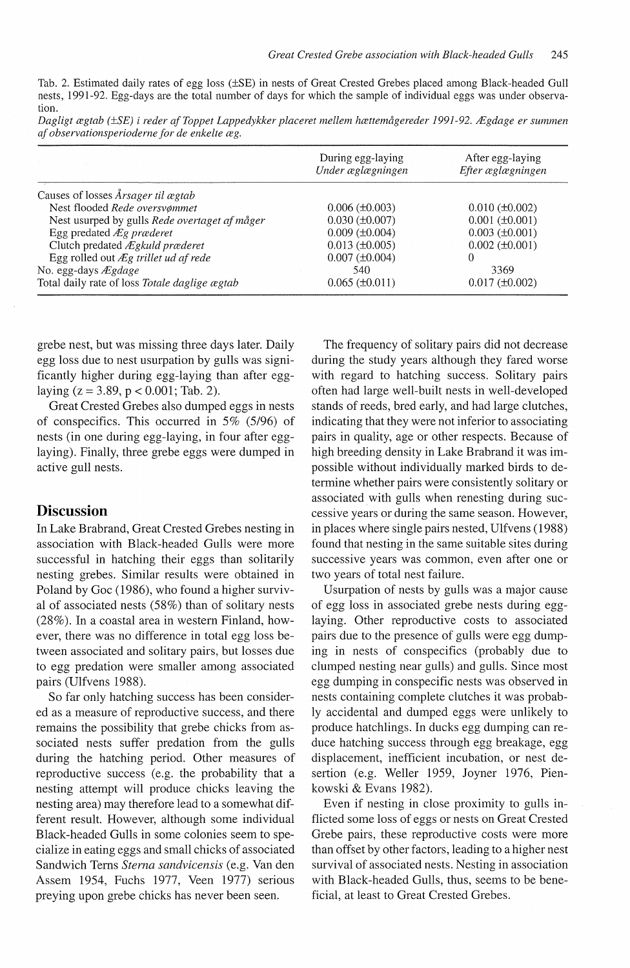Tab. 2. Estimated daily rates of egg loss (±SE) in nests of Great Crested Grebes placed among Black-headed Gull nests, 1991-92. Egg-days are the total number of days for which the sample of individual eggs was under observation.

| Dagligt ægtab (±SE) i reder af Toppet Lappedykker placeret mellem hættemågereder 1991-92. Ægdage er summen |  |  |
|------------------------------------------------------------------------------------------------------------|--|--|
| af observationsperioderne for de enkelte æg.                                                               |  |  |

|                                                   | During egg-laying<br>Under æglægningen | After egg-laying<br>Efter æglægningen |
|---------------------------------------------------|----------------------------------------|---------------------------------------|
| Causes of losses Årsager til ægtab                |                                        |                                       |
| Nest flooded Rede oversvømmet                     | $0.006 \ (\pm 0.003)$                  | $0.010 (\pm 0.002)$                   |
| Nest usurped by gulls Rede overtaget af måger     | $0.030$ ( $\pm 0.007$ )                | $0.001 (\pm 0.001)$                   |
| Egg predated Æg præderet                          | $0.009$ ( $\pm 0.004$ )                | $0.003$ ( $\pm 0.001$ )               |
| Clutch predated Ægkuld præderet                   | $0.013 \ (\pm 0.005)$                  | $0.002$ ( $\pm 0.001$ )               |
| Egg rolled out $\mathcal{L}$ g trillet ud af rede | $0.007 (\pm 0.004)$                    |                                       |
| No. egg-days $\mathcal{E}$ gdage                  | 540                                    | 3369                                  |
| Total daily rate of loss Totale daglige ægtab     | $0.065 \ (\pm 0.011)$                  | $0.017 (\pm 0.002)$                   |

grebe nest, but was missing three days later. Daily egg loss due to nest usurpation by gulls was significantly higher during egg-laying than after egglaying  $(z = 3.89, p < 0.001$ ; Tab. 2).

Great Crested Grebes also dumped eggs in nests of conspecifics. This occurred in 5% (5/96) of nests (in one during egg-laying, in four after egglaying). Finally, three grebe eggs were dumped in active gull nests.

## **Discussion**

In Lake Brabrand, Great Crested Grebes nesting in association with Black-headed Gulls were more successful in hatching their eggs than solitarily nesting grebes. Similar results were obtained in Poland by Goc (1986), who found a higher survival of associated nests (58%) than of solitary nests  $(28\%)$ . In a coastal area in western Finland, however, there was no difference in total egg loss between associated and solitary pairs, but losses due to egg predation were smaller among associated pairs (Ulfvens 1988).

So far only hatching success has been considered as a measure of reproductive success, and there remains the possibility that grebe chicks from associated nests suffer predation from the gulls during the hatching period. Other measures of reproductive success (e.g. the probability that a nesting attempt will produce chicks leaving the nesting area) may therefore lead to a somewhat different result. However, although some individual Black-headed Gulls in some colonies seem to specialize in eating eggs and small chicks of associated Sandwich Tems *Sterna sandvicensis* (e.g. Van den Assem 1954, Fuchs 1977, Veen 1977) serious preying upon grebe chicks has never been seen.

The frequency of solitary pairs did not decrease during the study years although they fared worse with regard to hatching success. Solitary pairs often had large well-built nests in well-developed stands of reeds, bred early, and had large clutches, indicating that they were not inferior to associating pairs in quality, age or other respects. Because of high breeding density in Lake Brabrand it was impossible without individually marked birds to determine whether pairs were consistently solitary or associated with gulls when renesting during successive years or during the same season. However, in places where single pairs nested, Ulfvens ( 1988) found that nesting in the same suitable sites during successive years was common, even after one or two years of total nest failure.

Usurpation of nests by gulls was a major cause of egg loss in associated grebe nests during egglaying. Other reproductive costs to associated pairs due to the presence of gulls were egg dumping in nests of conspecifics (probably due to clumped nesting near gulls) and gulls. Since most egg dumping in conspecific nests was observed in nests containing complete clutches it was probably accidental and dumped eggs were unlikely to produce hatchlings. In ducks egg dumping can reduce hatching success through egg breakage, egg displacement, inefficient incubation, or nest desertion (e.g. Weller 1959, Joyner 1976, Pienkowski & Evans 1982).

Even if nesting in close proximity to gulls inflicted some loss of eggs or nests on Great Crested Grebe pairs, these reproductive costs were more than offset by other factors, leading to a higher nest survival of associated nests. Nesting in association with Black-headed Gulls, thus, seems to be beneficial, at least to Great Crested Grebes.